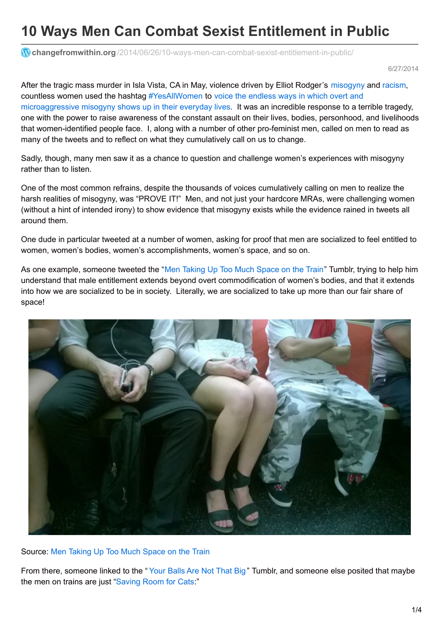# **10 Ways Men Can Combat Sexist Entitlement in Public**

**changefromwithin.org** [/2014/06/26/10-ways-men-can-combat-sexist-entitlement-in-public/](https://changefromwithin.org/2014/06/26/10-ways-men-can-combat-sexist-entitlement-in-public/)

6/27/2014

After the tragic mass murder in Isla Vista, CA in May, violence driven by Elliot Rodger's [misogyny](http://www.theguardian.com/commentisfree/2014/may/27/elliot-rodger-was-misogynist-killing-spree) and [racism](http://www.splcenter.org/blog/2014/05/24/elliot-rodger-isla-vista-shooting-suspect-posted-racist-messages-on-misogynistic-website/), countless women used the hashtag [#YesAllWomen](https://twitter.com/search?q=%23YesAllWomen&src=typd) to voice the endless ways in which overt and [microaggressive](http://www.theguardian.com/commentisfree/2014/may/28/yesallwomen-barage-sexism-elliot-rodger) misogyny shows up in their everyday lives. It was an incredible response to a terrible tragedy, one with the power to raise awareness of the constant assault on their lives, bodies, personhood, and livelihoods that women-identified people face. I, along with a number of other pro-feminist men, called on men to read as many of the tweets and to reflect on what they cumulatively call on us to change.

Sadly, though, many men saw it as a chance to question and challenge women's experiences with misogyny rather than to listen.

One of the most common refrains, despite the thousands of voices cumulatively calling on men to realize the harsh realities of misogyny, was "PROVE IT!" Men, and not just your hardcore MRAs, were challenging women (without a hint of intended irony) to show evidence that misogyny exists while the evidence rained in tweets all around them.

One dude in particular tweeted at a number of women, asking for proof that men are socialized to feel entitled to women, women's bodies, women's accomplishments, women's space, and so on.

As one example, someone tweeted the "Men [Taking](http://mentakingup2muchspaceonthetrain.tumblr.com/) Up Too Much Space on the Train" Tumblr, trying to help him understand that male entitlement extends beyond overt commodification of women's bodies, and that it extends into how we are socialized to be in society. Literally, we are socialized to take up more than our fair share of space!



Source: Men [Taking](http://mentakingup2muchspaceonthetrain.tumblr.com/) Up Too Much Space on the Train

From there, someone linked to the " Your [Balls](http://yourballsarenotthatbig.tumblr.com/) Are Not That Big " Tumblr, and someone else posited that maybe the men on trains are just ["Saving](http://savingroomforcats.tumblr.com/) Room for Cats."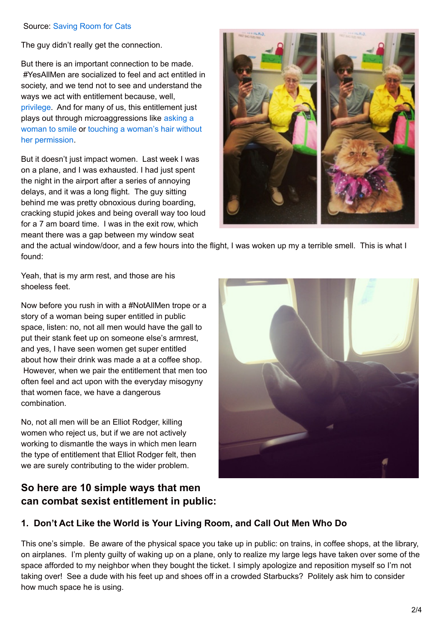#### Source: [Saving](http://savingroomforcats.tumblr.com/) Room for Cats

The guy didn't really get the connection.

But there is an important connection to be made. #YesAllMen are socialized to feel and act entitled in society, and we tend not to see and understand the ways we act with entitlement because, well, [privilege](http://everydayfeminism.com/2013/04/the-importance-of-listening-as-a-privileged-person-fighting-for-justice/). And for many of us, this entitlement just plays out through [microaggressions](http://www.thedailybeast.com/witw/articles/2013/08/01/tatyana-fazlalizadeh-s-street-art-project-stop-telling-women-to-smile.html) like asking a woman to smile or touching a woman's hair without her [permission.](http://thefeministhub.tumblr.com/post/9667581169/you-arent-entitled-to-touch-me)

But it doesn't just impact women. Last week I was on a plane, and I was exhausted. I had just spent the night in the airport after a series of annoying delays, and it was a long flight. The guy sitting behind me was pretty obnoxious during boarding, cracking stupid jokes and being overall way too loud for a 7 am board time. I was in the exit row, which meant there was a gap between my window seat



and the actual window/door, and a few hours into the flight, I was woken up my a terrible smell. This is what I found:

Yeah, that is my arm rest, and those are his shoeless feet.

Now before you rush in with a #NotAllMen trope or a story of a woman being super entitled in public space, listen: no, not all men would have the gall to put their stank feet up on someone else's armrest, and yes, I have seen women get super entitled about how their drink was made a at a coffee shop. However, when we pair the entitlement that men too often feel and act upon with the everyday misogyny that women face, we have a dangerous combination.

No, not all men will be an Elliot Rodger, killing women who reject us, but if we are not actively working to dismantle the ways in which men learn the type of entitlement that Elliot Rodger felt, then we are surely contributing to the wider problem.

# **So here are 10 simple ways that men can combat sexist entitlement in public:**



## **1. Don't Act Like the World is Your Living Room, and Call Out Men Who Do**

This one's simple. Be aware of the physical space you take up in public: on trains, in coffee shops, at the library, on airplanes. I'm plenty guilty of waking up on a plane, only to realize my large legs have taken over some of the space afforded to my neighbor when they bought the ticket. I simply apologize and reposition myself so I'm not taking over! See a dude with his feet up and shoes off in a crowded Starbucks? Politely ask him to consider how much space he is using.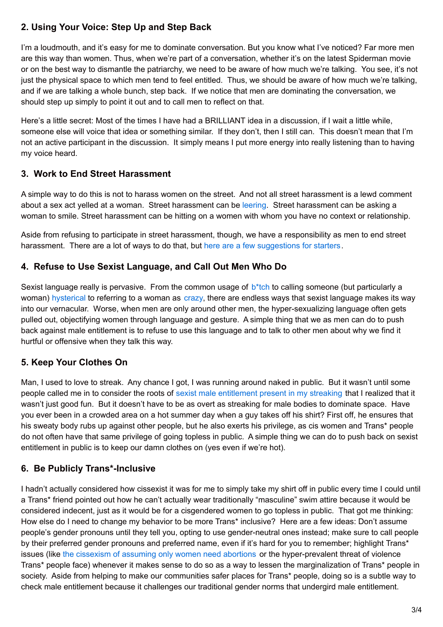## **2. Using Your Voice: Step Up and Step Back**

I'm a loudmouth, and it's easy for me to dominate conversation. But you know what I've noticed? Far more men are this way than women. Thus, when we're part of a conversation, whether it's on the latest Spiderman movie or on the best way to dismantle the patriarchy, we need to be aware of how much we're talking. You see, it's not just the physical space to which men tend to feel entitled. Thus, we should be aware of how much we're talking, and if we are talking a whole bunch, step back. If we notice that men are dominating the conversation, we should step up simply to point it out and to call men to reflect on that.

Here's a little secret: Most of the times I have had a BRILLIANT idea in a discussion, if I wait a little while, someone else will voice that idea or something similar. If they don't, then I still can. This doesn't mean that I'm not an active participant in the discussion. It simply means I put more energy into really listening than to having my voice heard.

## **3. Work to End Street Harassment**

A simple way to do this is not to harass women on the street. And not all street harassment is a lewd comment about a sex act yelled at a woman. Street harassment can be [leering](https://changefromwithin.org/2013/04/18/navigating-the-difference-between-the-appreciation-of-beauty-and-sexual-objectification/). Street harassment can be asking a woman to smile. Street harassment can be hitting on a women with whom you have no context or relationship.

Aside from refusing to participate in street harassment, though, we have a responsibility as men to end street harassment. There are a lot of ways to do that, but here are a few [suggestions](http://everydayfeminism.com/2013/05/what-men-can-do-street-harassment/) for starters.

## **4. Refuse to Use Sexist Language, and Call Out Men Who Do**

Sexist language really is pervasive. From the common usage of  $b^*$ tch to calling someone (but particularly a woman) [hysterical](https://wiki.uiowa.edu/download/attachments/59579500/Notes+on+Hysteria.pdf?version=1&modificationDate=1317508038283) to referring to a woman as [crazy](http://goodmenproject.com/featured-content/why-women-arent-crazy/), there are endless ways that sexist language makes its way into our vernacular. Worse, when men are only around other men, the hyper-sexualizing language often gets pulled out, objectifying women through language and gesture. A simple thing that we as men can do to push back against male entitlement is to refuse to use this language and to talk to other men about why we find it hurtful or offensive when they talk this way.

## **5. Keep Your Clothes On**

Man, I used to love to streak. Any chance I got, I was running around naked in public. But it wasn't until some people called me in to consider the roots of sexist male [entitlement](https://changefromwithin.org/2012/08/30/male-nudity-in-public/) present in my streaking that I realized that it wasn't just good fun. But it doesn't have to be as overt as streaking for male bodies to dominate space. Have you ever been in a crowded area on a hot summer day when a guy takes off his shirt? First off, he ensures that his sweaty body rubs up against other people, but he also exerts his privilege, as cis women and Trans\* people do not often have that same privilege of going topless in public. A simple thing we can do to push back on sexist entitlement in public is to keep our damn clothes on (yes even if we're hot).

## **6. Be Publicly Trans\*-Inclusive**

I hadn't actually considered how cissexist it was for me to simply take my shirt off in public every time I could until a Trans\* friend pointed out how he can't actually wear traditionally "masculine" swim attire because it would be considered indecent, just as it would be for a cisgendered women to go topless in public. That got me thinking: How else do I need to change my behavior to be more Trans\* inclusive? Here are a few ideas: Don't assume people's gender pronouns until they tell you, opting to use gender-neutral ones instead; make sure to call people by their preferred gender pronouns and preferred name, even if it's hard for you to remember; highlight Trans\* issues (like the [cissexism](http://www.truth-out.org/opinion/item/17888-not-everyone-who-has-an-abortion-is-a-woman-how-to-frame-the-abortion-rights-issue) of assuming only women need abortions or the hyper-prevalent threat of violence Trans\* people face) whenever it makes sense to do so as a way to lessen the marginalization of Trans\* people in society. Aside from helping to make our communities safer places for Trans\* people, doing so is a subtle way to check male entitlement because it challenges our traditional gender norms that undergird male entitlement.